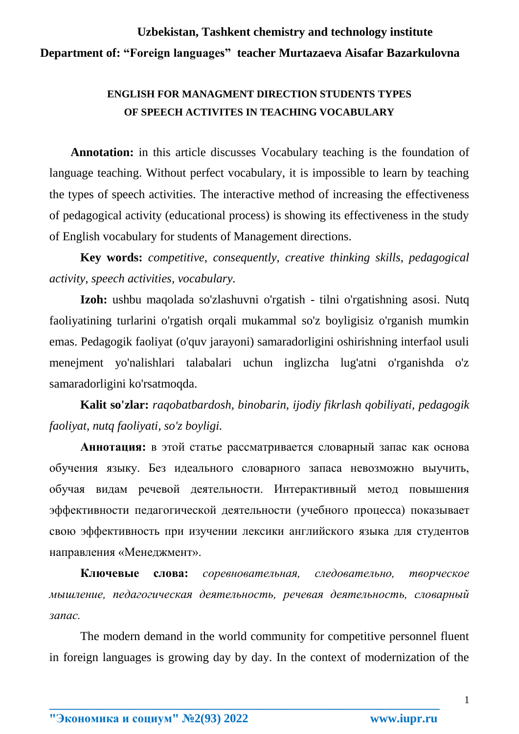## **Uzbekistan, Tashkent chemistry and technology institute Department of: "Foreign languages" teacher Murtazaeva Aisafar Bazarkulovna**

## **ENGLISH FOR MANAGMENT DIRECTION STUDENTS TYPES OF SPEECH ACTIVITES IN TEACHING VOCABULARY**

 **Annotation:** in this article discusses Vocabulary teaching is the foundation of language teaching. Without perfect vocabulary, it is impossible to learn by teaching the types of speech activities. The interactive method of increasing the effectiveness of pedagogical activity (educational process) is showing its effectiveness in the study of English vocabulary for students of Management directions.

**Key words:** *competitive, consequently, creative thinking skills, pedagogical activity, speech activities, vocabulary.*

**Izoh:** ushbu maqolada so'zlashuvni o'rgatish - tilni o'rgatishning asosi. Nutq faoliyatining turlarini o'rgatish orqali mukammal so'z boyligisiz o'rganish mumkin emas. Pedagogik faoliyat (o'quv jarayoni) samaradorligini oshirishning interfaol usuli menejment yo'nalishlari talabalari uchun inglizcha lug'atni o'rganishda o'z samaradorligini ko'rsatmoqda.

**Kalit so'zlar:** *raqobatbardosh, binobarin, ijodiy fikrlash qobiliyati, pedagogik faoliyat, nutq faoliyati, so'z boyligi.*

**Аннотация:** в этой статье рассматривается словарный запас как основа обучения языку. Без идеального словарного запаса невозможно выучить, обучая видам речевой деятельности. Интерактивный метод повышения эффективности педагогической деятельности (учебного процесса) показывает свою эффективность при изучении лексики английского языка для студентов направления «Менеджмент».

**Ключевые слова:** *соревновательная, следовательно, творческое мышление, педагогическая деятельность, речевая деятельность, словарный запас.*

The modern demand in the world community for competitive personnel fluent in foreign languages is growing day by day. In the context of modernization of the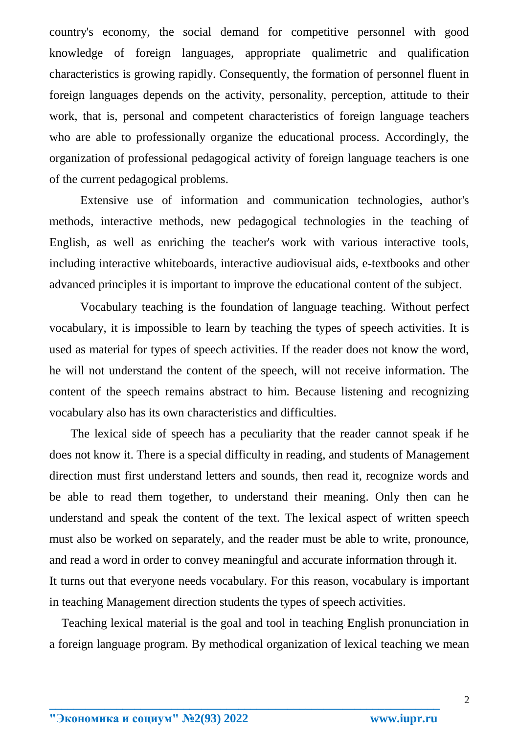country's economy, the social demand for competitive personnel with good knowledge of foreign languages, appropriate qualimetric and qualification characteristics is growing rapidly. Consequently, the formation of personnel fluent in foreign languages depends on the activity, personality, perception, attitude to their work, that is, personal and competent characteristics of foreign language teachers who are able to professionally organize the educational process. Accordingly, the organization of professional pedagogical activity of foreign language teachers is one of the current pedagogical problems.

Extensive use of information and communication technologies, author's methods, interactive methods, new pedagogical technologies in the teaching of English, as well as enriching the teacher's work with various interactive tools, including interactive whiteboards, interactive audiovisual aids, e-textbooks and other advanced principles it is important to improve the educational content of the subject.

Vocabulary teaching is the foundation of language teaching. Without perfect vocabulary, it is impossible to learn by teaching the types of speech activities. It is used as material for types of speech activities. If the reader does not know the word, he will not understand the content of the speech, will not receive information. The content of the speech remains abstract to him. Because listening and recognizing vocabulary also has its own characteristics and difficulties.

 The lexical side of speech has a peculiarity that the reader cannot speak if he does not know it. There is a special difficulty in reading, and students of Management direction must first understand letters and sounds, then read it, recognize words and be able to read them together, to understand their meaning. Only then can he understand and speak the content of the text. The lexical aspect of written speech must also be worked on separately, and the reader must be able to write, pronounce, and read a word in order to convey meaningful and accurate information through it. It turns out that everyone needs vocabulary. For this reason, vocabulary is important in teaching Management direction students the types of speech activities.

 Teaching lexical material is the goal and tool in teaching English pronunciation in a foreign language program. By methodical organization of lexical teaching we mean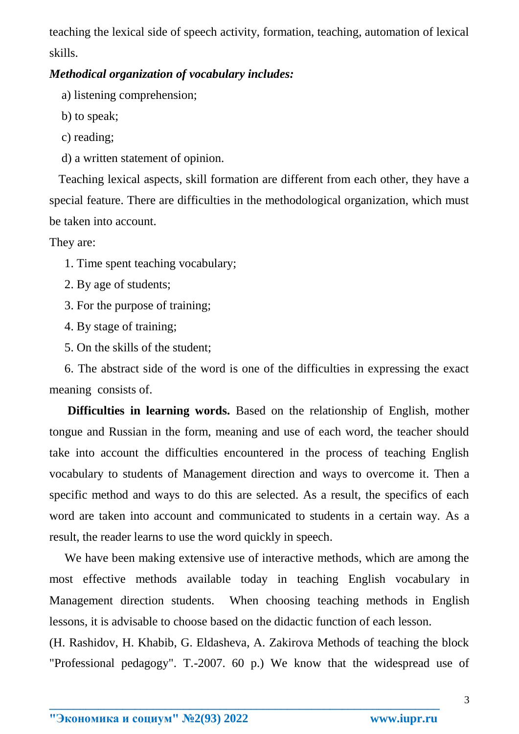teaching the lexical side of speech activity, formation, teaching, automation of lexical skills.

## *Methodical organization of vocabulary includes:*

a) listening comprehension;

b) to speak;

c) reading;

d) a written statement of opinion.

 Teaching lexical aspects, skill formation are different from each other, they have a special feature. There are difficulties in the methodological organization, which must be taken into account.

They are:

1. Time spent teaching vocabulary;

2. By age of students;

3. For the purpose of training;

4. By stage of training;

5. On the skills of the student;

 6. The abstract side of the word is one of the difficulties in expressing the exact meaning consists of.

 **Difficulties in learning words.** Based on the relationship of English, mother tongue and Russian in the form, meaning and use of each word, the teacher should take into account the difficulties encountered in the process of teaching English vocabulary to students of Management direction and ways to overcome it. Then a specific method and ways to do this are selected. As a result, the specifics of each word are taken into account and communicated to students in a certain way. As a result, the reader learns to use the word quickly in speech.

 We have been making extensive use of interactive methods, which are among the most effective methods available today in teaching English vocabulary in Management direction students. When choosing teaching methods in English lessons, it is advisable to choose based on the didactic function of each lesson.

(H. Rashidov, H. Khabib, G. Eldasheva, A. Zakirova Methods of teaching the block "Professional pedagogy". T.-2007. 60 p.) We know that the widespread use of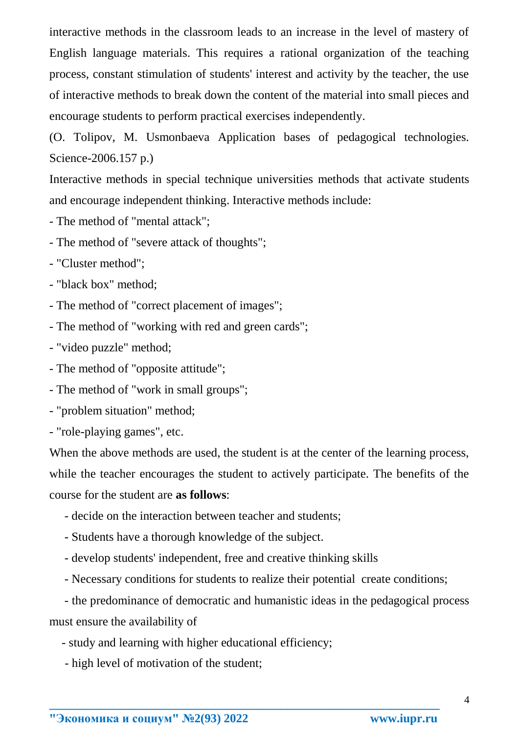interactive methods in the classroom leads to an increase in the level of mastery of English language materials. This requires a rational organization of the teaching process, constant stimulation of students' interest and activity by the teacher, the use of interactive methods to break down the content of the material into small pieces and encourage students to perform practical exercises independently.

(O. Tolipov, M. Usmonbaeva Application bases of pedagogical technologies. Science-2006.157 p.)

Interactive methods in special technique universities methods that activate students and encourage independent thinking. Interactive methods include:

- The method of "mental attack";

- The method of "severe attack of thoughts";

- "Cluster method";
- "black box" method;
- The method of "correct placement of images";
- The method of "working with red and green cards";
- "video puzzle" method;
- The method of "opposite attitude";
- The method of "work in small groups";
- "problem situation" method;
- "role-playing games", etc.

When the above methods are used, the student is at the center of the learning process, while the teacher encourages the student to actively participate. The benefits of the course for the student are **as follows**:

- decide on the interaction between teacher and students;
- Students have a thorough knowledge of the subject.
- develop students' independent, free and creative thinking skills
- Necessary conditions for students to realize their potential create conditions;

 - the predominance of democratic and humanistic ideas in the pedagogical process must ensure the availability of

- study and learning with higher educational efficiency;
- high level of motivation of the student;